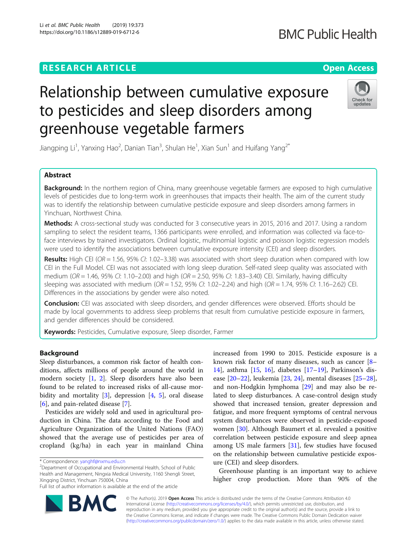# **RESEARCH ARTICLE Example 2018 12:30 THE Open Access**

# Relationship between cumulative exposure to pesticides and sleep disorders among greenhouse vegetable farmers

Jiangping Li<sup>1</sup>, Yanxing Hao<sup>2</sup>, Danian Tian<sup>3</sup>, Shulan He<sup>1</sup>, Xian Sun<sup>1</sup> and Huifang Yang<sup>2\*</sup>

# Abstract

Background: In the northern region of China, many greenhouse vegetable farmers are exposed to high cumulative levels of pesticides due to long-term work in greenhouses that impacts their health. The aim of the current study was to identify the relationship between cumulative pesticide exposure and sleep disorders among farmers in Yinchuan, Northwest China.

Methods: A cross-sectional study was conducted for 3 consecutive years in 2015, 2016 and 2017. Using a random sampling to select the resident teams, 1366 participants were enrolled, and information was collected via face-toface interviews by trained investigators. Ordinal logistic, multinomial logistic and poisson logistic regression models were used to identify the associations between cumulative exposure intensity (CEI) and sleep disorders.

Results: High CEI (OR = 1.56, 95% CI: 1.02-3.38) was associated with short sleep duration when compared with low CEI in the Full Model. CEI was not associated with long sleep duration. Self-rated sleep quality was associated with medium ( $OR = 1.46$ , 95% CI: 1.10–2.00) and high ( $OR = 2.50$ , 95% CI: 1.83–3.40) CEI. Similarly, having difficulty sleeping was associated with medium ( $OR = 1.52$ ,  $95\%$  CI:  $1.02-2.24$ ) and high ( $OR = 1.74$ ,  $95\%$  CI:  $1.16-2.62$ ) CEI. Differences in the associations by gender were also noted.

Conclusion: CEI was associated with sleep disorders, and gender differences were observed. Efforts should be made by local governments to address sleep problems that result from cumulative pesticide exposure in farmers, and gender differences should be considered.

Keywords: Pesticides, Cumulative exposure, Sleep disorder, Farmer

# Background

Sleep disturbances, a common risk factor of health conditions, affects millions of people around the world in modern society [[1,](#page-9-0) [2\]](#page-9-0). Sleep disorders have also been found to be related to increased risks of all-cause morbidity and mortality  $[3]$  $[3]$ , depression  $[4, 5]$  $[4, 5]$  $[4, 5]$ , oral disease [[6\]](#page-9-0), and pain-related disease [[7\]](#page-9-0).

Pesticides are widely sold and used in agricultural production in China. The data according to the Food and Agriculture Organization of the United Nations (FAO) showed that the average use of pesticides per area of cropland (kg/ha) in each year in mainland China

<sup>2</sup>Department of Occupational and Environmental Health, School of Public Health and Management, Ningxia Medical University, 1160 Shengli Street, Xingqing District, Yinchuan 750004, China Full list of author information is available at the end of the article

> © The Author(s). 2019 Open Access This article is distributed under the terms of the Creative Commons Attribution 4.0 International License [\(http://creativecommons.org/licenses/by/4.0/](http://creativecommons.org/licenses/by/4.0/)), which permits unrestricted use, distribution, and reproduction in any medium, provided you give appropriate credit to the original author(s) and the source, provide a link to the Creative Commons license, and indicate if changes were made. The Creative Commons Public Domain Dedication waiver [\(http://creativecommons.org/publicdomain/zero/1.0/](http://creativecommons.org/publicdomain/zero/1.0/)) applies to the data made available in this article, unless otherwise stated.

ure (CEI) and sleep disorders.

increased from 1990 to 2015. Pesticide exposure is a known risk factor of many diseases, such as cancer [[8](#page-9-0)– [14\]](#page-9-0), asthma [\[15,](#page-9-0) [16](#page-9-0)], diabetes [[17](#page-9-0)–[19](#page-9-0)], Parkinson's disease [[20](#page-9-0)–[22\]](#page-9-0), leukemia [[23,](#page-9-0) [24\]](#page-9-0), mental diseases [[25](#page-9-0)–[28](#page-9-0)], and non-Hodgkin lymphoma [[29](#page-9-0)] and may also be related to sleep disturbances. A case-control design study showed that increased tension, greater depression and fatigue, and more frequent symptoms of central nervous system disturbances were observed in pesticide-exposed women [\[30\]](#page-9-0). Although Baumert et al. revealed a positive correlation between pesticide exposure and sleep apnea among US male farmers [[31\]](#page-9-0), few studies have focused on the relationship between cumulative pesticide expos-

Greenhouse planting is an important way to achieve higher crop production. More than 90% of the

\* Correspondence: [yanghf@nxmu.edu.cn](mailto:yanghf@nxmu.edu.cn) <sup>2</sup>

Li et al. BMC Public Health (2019) 19:373 https://doi.org/10.1186/s12889-019-6712-6





# **BMC Public Health**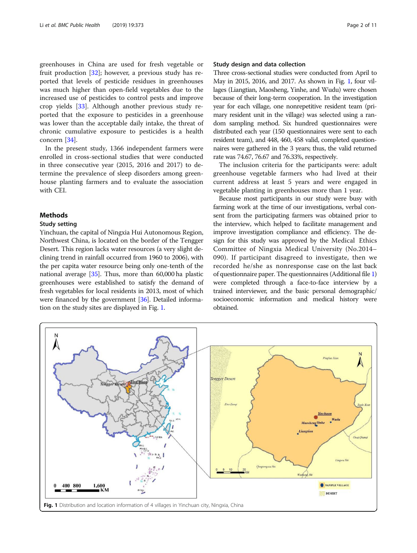greenhouses in China are used for fresh vegetable or fruit production [\[32](#page-9-0)]; however, a previous study has reported that levels of pesticide residues in greenhouses was much higher than open-field vegetables due to the increased use of pesticides to control pests and improve crop yields [\[33](#page-9-0)]. Although another previous study reported that the exposure to pesticides in a greenhouse was lower than the acceptable daily intake, the threat of chronic cumulative exposure to pesticides is a health concern [[34](#page-9-0)].

In the present study, 1366 independent farmers were enrolled in cross-sectional studies that were conducted in three consecutive year (2015, 2016 and 2017) to determine the prevalence of sleep disorders among greenhouse planting farmers and to evaluate the association with CEI.

# Methods

# Study setting

Yinchuan, the capital of Ningxia Hui Autonomous Region, Northwest China, is located on the border of the Tengger Desert. This region lacks water resources (a very slight declining trend in rainfall occurred from 1960 to 2006), with the per capita water resource being only one-tenth of the national average [\[35\]](#page-9-0). Thus, more than 60,000 ha plastic greenhouses were established to satisfy the demand of fresh vegetables for local residents in 2013, most of which were financed by the government [\[36](#page-9-0)]. Detailed information on the study sites are displayed in Fig. 1.

# Study design and data collection

Three cross-sectional studies were conducted from April to May in 2015, 2016, and 2017. As shown in Fig. 1, four villages (Liangtian, Maosheng, Yinhe, and Wudu) were chosen because of their long-term cooperation. In the investigation year for each village, one nonrepetitive resident team (primary resident unit in the village) was selected using a random sampling method. Six hundred questionnaires were distributed each year (150 questionnaires were sent to each resident team), and 448, 460, 458 valid, completed questionnaires were gathered in the 3 years; thus, the valid returned rate was 74.67, 76.67 and 76.33%, respectively.

The inclusion criteria for the participants were: adult greenhouse vegetable farmers who had lived at their current address at least 5 years and were engaged in vegetable planting in greenhouses more than 1 year.

Because most participants in our study were busy with farming work at the time of our investigations, verbal consent from the participating farmers was obtained prior to the interview, which helped to facilitate management and improve investigation compliance and efficiency. The design for this study was approved by the Medical Ethics Committee of Ningxia Medical University (No.2014– 090). If participant disagreed to investigate, then we recorded he/she as nonresponse case on the last back of questionnaire paper. The questionnaires (Additional file [1](#page-8-0)) were completed through a face-to-face interview by a trained interviewer, and the basic personal demographic/ socioeconomic information and medical history were obtained.

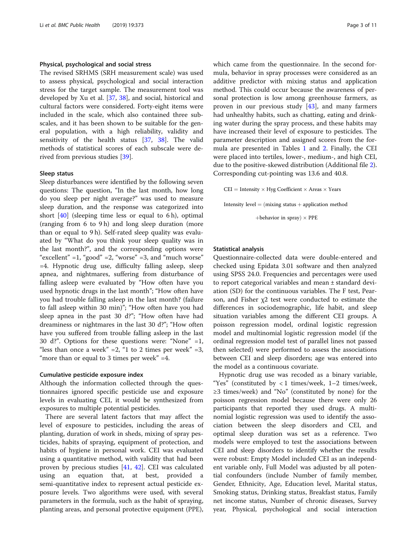# Physical, psychological and social stress

The revised SRHMS (SRH measurement scale) was used to assess physical, psychological and social interaction stress for the target sample. The measurement tool was developed by Xu et al. [\[37,](#page-9-0) [38](#page-9-0)], and social, historical and cultural factors were considered. Forty-eight items were included in the scale, which also contained three subscales, and it has been shown to be suitable for the general population, with a high reliability, validity and sensitivity of the health status [\[37,](#page-9-0) [38](#page-9-0)]. The valid methods of statistical scores of each subscale were derived from previous studies [[39\]](#page-9-0).

# Sleep status

Sleep disturbances were identified by the following seven questions: The question, "In the last month, how long do you sleep per night average?" was used to measure sleep duration, and the response was categorized into short  $[40]$  $[40]$  (sleeping time less or equal to 6 h), optimal (ranging from 6 to 9 h) and long sleep duration (more than or equal to 9 h). Self-rated sleep quality was evaluated by "What do you think your sleep quality was in the last month?", and the corresponding options were "excellent" =1, "good" =2, "worse" =3, and "much worse" =4. Hypnotic drug use, difficulty falling asleep, sleep apnea, and nightmares, suffering from disturbance of falling asleep were evaluated by "How often have you used hypnotic drugs in the last month"; "How often have you had trouble falling asleep in the last month? (failure to fall asleep within 30 min)"; "How often have you had sleep apnea in the past 30 d?"; "How often have had dreaminess or nightmares in the last 30 d?"; "How often have you suffered from trouble falling asleep in the last 30 d?". Options for these questions were: "None" =1, "less than once a week" = 2, "1 to 2 times per week" = 3, "more than or equal to 3 times per week"  $=4$ .

# Cumulative pesticide exposure index

Although the information collected through the questionnaires ignored specific pesticide use and exposure levels in evaluating CEI, it would be synthesized from exposures to multiple potential pesticides.

There are several latent factors that may affect the level of exposure to pesticides, including the areas of planting, duration of work in sheds, mixing of spray pesticides, habits of spraying, equipment of protection, and habits of hygiene in personal work. CEI was evaluated using a quantitative method, with validity that had been proven by precious studies [\[41](#page-9-0), [42](#page-10-0)]. CEI was calculated using an equation that, at best, provided a semi-quantitative index to represent actual pesticide exposure levels. Two algorithms were used, with several parameters in the formula, such as the habit of spraying, planting areas, and personal protective equipment (PPE), which came from the questionnaire. In the second formula, behavior in spray processes were considered as an additive predictor with mixing status and application method. This could occur because the awareness of personal protection is low among greenhouse farmers, as proven in our previous study  $[43]$  $[43]$ , and many farmers had unhealthy habits, such as chatting, eating and drinking water during the spray process, and these habits may have increased their level of exposure to pesticides. The parameter description and assigned scores from the formula are presented in Tables [1](#page-3-0) and [2](#page-4-0). Finally, the CEI were placed into tertiles, lower-, medium-, and high CEI, due to the positive-skewed distribution (Additional file [2](#page-8-0)). Corresponding cut-pointing was 13.6 and 40.8.

 $CEI = Intensity \times Hyg Coefficient \times Areas \times Years$ 

Intensity level  $=$   $(mixing status + application method)$ 

 $+$ behavior in spray $) \times$  PPE

# Statistical analysis

Questionnaire-collected data were double-entered and checked using Epidata 3.01 software and then analyzed using SPSS 24.0. Frequencies and percentages were used to report categorical variables and mean ± standard deviation (SD) for the continuous variables. The F test, Pearson, and Fisher χ2 test were conducted to estimate the differences in sociodemographic, life habit, and sleep situation variables among the different CEI groups. A poisson regression model, ordinal logistic regression model and multinomial logistic regression model (if the ordinal regression model test of parallel lines not passed then selected) were performed to assess the associations between CEI and sleep disorders; age was entered into the model as a continuous covariate.

Hypnotic drug use was recoded as a binary variable, "Yes" (constituted by  $< 1$  times/week,  $1-2$  times/week, ≥3 times/week) and "No" (constituted by none) for the poisson regression model because there were only 26 participants that reported they used drugs. A multinomial logistic regression was used to identify the association between the sleep disorders and CEI, and optimal sleep duration was set as a reference. Two models were employed to test the associations between CEI and sleep disorders to identify whether the results were robust: Empty Model included CEI as an independent variable only, Full Model was adjusted by all potential confounders (include Number of family member, Gender, Ethnicity, Age, Education level, Marital status, Smoking status, Drinking status, Breakfast status, Family net income status, Number of chronic diseases, Survey year, Physical, psychological and social interaction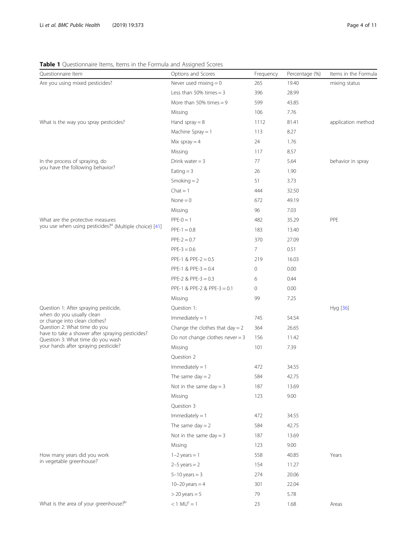# <span id="page-3-0"></span>Table 1 Questionnaire Items, Items in the Formula and Assigned Scores

| Questionnaire Item                                                                    | Options and Scores                | Frequency | Percentage (%) | Items in the Formula |
|---------------------------------------------------------------------------------------|-----------------------------------|-----------|----------------|----------------------|
| Are you using mixed pesticides?                                                       | Never used mixing $= 0$           | 265       | 19.40          | mixing status        |
|                                                                                       | Less than 50% times $=$ 3         | 396       | 28.99          |                      |
|                                                                                       | More than 50% times $= 9$         | 599       | 43.85          |                      |
|                                                                                       | Missing                           | 106       | 7.76           |                      |
| What is the way you spray pesticides?                                                 | Hand spray $= 8$                  | 1112      | 81.41          | application method   |
|                                                                                       | Machine Spray $= 1$               | 113       | 8.27           |                      |
|                                                                                       | Mix spray $=$ 4                   | 24        | 1.76           |                      |
|                                                                                       | Missing                           | 117       | 8.57           |                      |
| In the process of spraying, do                                                        | Drink water $=$ 3                 | 77        | 5.64           | behavior in spray    |
| you have the following behavior?                                                      | Eating $=$ 3                      | 26        | 1.90           |                      |
|                                                                                       | Smoking $= 2$                     | 51        | 3.73           |                      |
|                                                                                       | $Chat = 1$                        | 444       | 32.50          |                      |
|                                                                                       | $None = 0$                        | 672       | 49.19          |                      |
|                                                                                       | Missing                           | 96        | 7.03           |                      |
| What are the protective measures                                                      | $PPE-0 = 1$                       | 482       | 35.29          | PPE                  |
| you use when using pesticides? <sup>a</sup> (Multiple choice) [41]                    | $PPE-1 = 0.8$                     | 183       | 13.40          |                      |
|                                                                                       | $PPE-2 = 0.7$                     | 370       | 27.09          |                      |
|                                                                                       | $PPE-3 = 0.6$                     | 7         | 0.51           |                      |
|                                                                                       | PPE-1 & PPE-2 = 0.5               | 219       | 16.03          |                      |
|                                                                                       | PPE-1 & PPE-3 = $0.4$             | 0         | 0.00           |                      |
|                                                                                       | PPE-2 & PPE-3 = $0.3$             | 6         | 0.44           |                      |
|                                                                                       | PPE-1 & PPE-2 & PPE-3 = 0.1       | 0         | 0.00           |                      |
|                                                                                       | Missing                           | 99        | 7.25           |                      |
| Question 1: After spraying pesticide,                                                 | Question 1:                       |           |                | Hyg [36]             |
| when do you usually clean<br>or change into clean clothes?                            | $Immediately = 1$                 | 745       | 54.54          |                      |
| Question 2: What time do you                                                          | Change the clothes that $day = 2$ | 364       | 26.65          |                      |
| have to take a shower after spraying pesticides?<br>Question 3: What time do you wash | Do not change clothes never $=$ 3 | 156       | 11.42          |                      |
| your hands after spraying pesticide?                                                  | Missing                           | 101       | 7.39           |                      |
|                                                                                       | Question 2                        |           |                |                      |
|                                                                                       | $Immediately = 1$                 | 472       | 34.55          |                      |
|                                                                                       | The same day $= 2$                | 584       | 42.75          |                      |
|                                                                                       | Not in the same day = $3$         | 187       | 13.69          |                      |
|                                                                                       | Missing                           | 123       | 9.00           |                      |
|                                                                                       | Question 3                        |           |                |                      |
|                                                                                       | $Immediately = 1$                 | 472       | 34.55          |                      |
|                                                                                       | The same $day = 2$                | 584       | 42.75          |                      |
|                                                                                       | Not in the same day = $3$         | 187       | 13.69          |                      |
|                                                                                       | Mssing                            | 123       | 9.00           |                      |
| How many years did you work                                                           | $1-2$ years = 1                   | 558       | 40.85          | Years                |
| in vegetable greenhouse?                                                              | $2-5$ years = 2                   | 154       | 11.27          |                      |
|                                                                                       | $5-10$ years = 3                  | 274       | 20.06          |                      |
|                                                                                       | $10 - 20$ years = 4               | 301       | 22.04          |                      |
|                                                                                       | $>$ 20 years = 5                  | 79        | 5.78           |                      |
| What is the area of your greenhouse? <sup>b</sup>                                     | $< 1$ MU <sup>c</sup> = 1         | 23        | 1.68           | Areas                |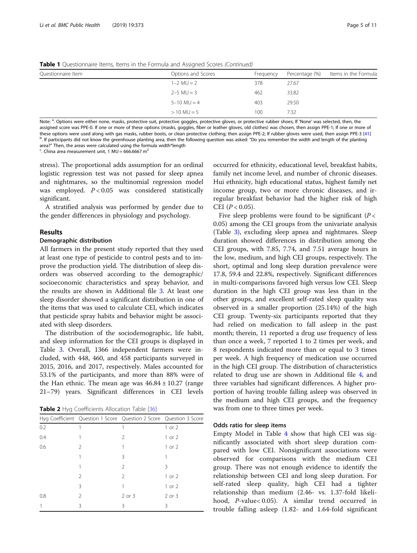<span id="page-4-0"></span>**Table 1** Questionnaire Items, Items in the Formula and Assigned Scores (Continued)

| Questionnaire Item | Options and Scores | Frequency | Percentage (%) | Items in the Formula |  |
|--------------------|--------------------|-----------|----------------|----------------------|--|
|                    | $1 - 2$ MU = 2     | 378       | 27.67          |                      |  |
|                    |                    |           |                |                      |  |
|                    | $2 - 5$ MU = 3     | 462       | 33.82          |                      |  |
|                    | $5 - 10$ MU = 4    | 403       | 29.50          |                      |  |
|                    | $> 10$ MU = 5      | 100       | 7.32           |                      |  |

Note: <sup>a</sup>. Options were either none, masks, protective suit, protective goggles, protective gloves, or protective rubber shoes; If 'None' was selected, then, the assigned score was PPE-0. If one or more of these options (masks, goggles, fiber or leather gloves, old clothes) was chosen, then assign PPE-1; If one or more of these options were used along with gas masks, rubber boots, or clean protective clothing; then assign PPE-2; If rubber gloves were used, then assign PPE-3 [[41](#page-9-0)] <sup>b</sup>. If participants did not know the greenhouse planting area, then the following question was asked: "Do you remember the width and length of the planting area?" Then, the areas were calculated using the formula width\*length

<sup>c</sup>. China area measurement unit, 1 MU = 666.6667 m<sup>2</sup>

stress). The proportional adds assumption for an ordinal logistic regression test was not passed for sleep apnea and nightmares, so the multinomial regression model was employed.  $P < 0.05$  was considered statistically significant.

A stratified analysis was performed by gender due to the gender differences in physiology and psychology.

# Results

# Demographic distribution

All farmers in the present study reported that they used at least one type of pesticide to control pests and to improve the production yield. The distribution of sleep disorders was observed according to the demographic/ socioeconomic characteristics and spray behavior, and the results are shown in Additional file [3.](#page-8-0) At least one sleep disorder showed a significant distribution in one of the items that was used to calculate CEI, which indicates that pesticide spray habits and behavior might be associated with sleep disorders.

The distribution of the sociodemographic, life habit, and sleep information for the CEI groups is displayed in Table [3](#page-5-0). Overall, 1366 independent farmers were included, with 448, 460, and 458 participants surveyed in 2015, 2016, and 2017, respectively. Males accounted for 53.1% of the participants, and more than 88% were of the Han ethnic. The mean age was  $46.84 \pm 10.27$  (range 21–79) years. Significant differences in CEI levels

Table 2 Hyg Coefficients Allocation Table [\[36\]](#page-9-0)

|     | Hyg Coefficient Question 1 Score Question 2 Score Question 3 Score |        |            |
|-----|--------------------------------------------------------------------|--------|------------|
| 0.2 |                                                                    |        | 1 or 2     |
| 0.4 |                                                                    | 2      | 1 or 2     |
| 0.6 | $\mathcal{P}$                                                      |        | $1$ or $2$ |
|     |                                                                    | 3      |            |
|     |                                                                    | 2      | 3          |
|     | $\mathfrak{D}$                                                     | 2      | 1 or 2     |
|     | 3                                                                  |        | $1$ or $2$ |
| 0.8 | $\mathcal{P}$                                                      | 2 or 3 | 2 or 3     |
|     | ζ                                                                  | ζ      | Β          |

occurred for ethnicity, educational level, breakfast habits, family net income level, and number of chronic diseases. Hui ethnicity, high educational status, highest family net income group, two or more chronic diseases, and irregular breakfast behavior had the higher risk of high CEI  $(P < 0.05)$ .

Five sleep problems were found to be significant ( $P <$ 0.05) among the CEI groups from the univariate analysis (Table [3](#page-5-0)), excluding sleep apnea and nightmares. Sleep duration showed differences in distribution among the CEI groups, with 7.85, 7.74, and 7.51 average hours in the low, medium, and high CEI groups, respectively. The short, optimal and long sleep duration prevalence were 17.8, 59.4 and 22.8%, respectively. Significant differences in multi-comparisons favored high versus low CEI. Sleep duration in the high CEI group was less than in the other groups, and excellent self-rated sleep quality was observed in a smaller proportion (25.14%) of the high CEI group. Twenty-six participants reported that they had relied on medication to fall asleep in the past month; therein, 11 reported a drug use frequency of less than once a week, 7 reported 1 to 2 times per week, and 8 respondents indicated more than or equal to 3 times per week. A high frequency of medication use occurred in the high CEI group. The distribution of characteristics related to drug use are shown in Additional file [4](#page-8-0), and three variables had significant differences. A higher proportion of having trouble falling asleep was observed in the medium and high CEI groups, and the frequency was from one to three times per week.

# Odds ratio for sleep items

Empty Model in Table [4](#page-7-0) show that high CEI was significantly associated with short sleep duration compared with low CEI. Nonsignificant associations were observed for comparisons with the medium CEI group. There was not enough evidence to identify the relationship between CEI and long sleep duration. For self-rated sleep quality, high CEI had a tighter relationship than medium (2.46- vs. 1.37-fold likelihood, P-value< 0.05). A similar trend occurred in trouble falling asleep (1.82- and 1.64-fold significant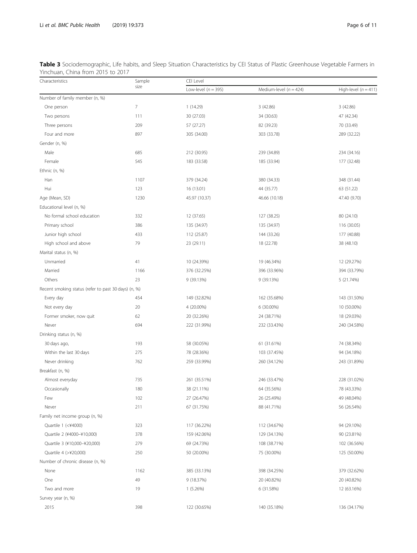<span id="page-5-0"></span>

|                                   |                      |         | Table 3 Sociodemographic, Life habits, and Sleep Situation Characteristics by CEI Status of Plastic Greenhouse Vegetable Farmers in |  |
|-----------------------------------|----------------------|---------|-------------------------------------------------------------------------------------------------------------------------------------|--|
| Yinchuan, China from 2015 to 2017 |                      |         |                                                                                                                                     |  |
| Change and attached               | المستحركة المستحدثات | $C = 1$ |                                                                                                                                     |  |

| Characteristics                                      | Sample         | CEI Level               |                            |                        |  |  |  |
|------------------------------------------------------|----------------|-------------------------|----------------------------|------------------------|--|--|--|
|                                                      | size           | Low-level ( $n = 395$ ) | Medium-level ( $n = 424$ ) | High-level $(n = 411)$ |  |  |  |
| Number of family member (n, %)                       |                |                         |                            |                        |  |  |  |
| One person                                           | $\overline{7}$ | 1(14.29)                | 3(42.86)                   | 3(42.86)               |  |  |  |
| Two persons                                          | 111            | 30 (27.03)              | 34 (30.63)                 | 47 (42.34)             |  |  |  |
| Three persons                                        | 209            | 57 (27.27)              | 82 (39.23)                 | 70 (33.49)             |  |  |  |
| Four and more                                        | 897            | 305 (34.00)             | 303 (33.78)                | 289 (32.22)            |  |  |  |
| Gender (n, %)                                        |                |                         |                            |                        |  |  |  |
| Male                                                 | 685            | 212 (30.95)             | 239 (34.89)                | 234 (34.16)            |  |  |  |
| Female                                               | 545            | 183 (33.58)             | 185 (33.94)                | 177 (32.48)            |  |  |  |
| Ethnic (n, %)                                        |                |                         |                            |                        |  |  |  |
| Han                                                  | 1107           | 379 (34.24)             | 380 (34.33)                | 348 (31.44)            |  |  |  |
| Hui                                                  | 123            | 16 (13.01)              | 44 (35.77)                 | 63 (51.22)             |  |  |  |
| Age (Mean, SD)                                       | 1230           | 45.97 (10.37)           | 46.66 (10.18)              | 47.40 (9.70)           |  |  |  |
| Educational level (n, %)                             |                |                         |                            |                        |  |  |  |
| No formal school education                           | 332            | 12 (37.65)              | 127 (38.25)                | 80 (24.10)             |  |  |  |
| Primary school                                       | 386            | 135 (34.97)             | 135 (34.97)                | 116 (30.05)            |  |  |  |
| Junior high school                                   | 433            | 112 (25.87)             | 144 (33.26)                | 177 (40.88)            |  |  |  |
| High school and above                                | 79             | 23 (29.11)              | 18 (22.78)                 | 38 (48.10)             |  |  |  |
| Marital status (n, %)                                |                |                         |                            |                        |  |  |  |
| Unmarried                                            | 41             | 10 (24.39%)             | 19 (46.34%)                | 12 (29.27%)            |  |  |  |
| Married                                              | 1166           | 376 (32.25%)            | 396 (33.96%)               | 394 (33.79%)           |  |  |  |
| Others                                               | 23             | 9 (39.13%)              | 9 (39.13%)                 | 5 (21.74%)             |  |  |  |
| Recent smoking status (refer to past 30 days) (n, %) |                |                         |                            |                        |  |  |  |
| Every day                                            | 454            | 149 (32.82%)            | 162 (35.68%)               | 143 (31.50%)           |  |  |  |
| Not every day                                        | 20             | 4 (20.00%)              | 6 (30.00%)                 | 10 (50.00%)            |  |  |  |
| Former smoker, now quit                              | 62             | 20 (32.26%)             | 24 (38.71%)                | 18 (29.03%)            |  |  |  |
| Never                                                | 694            | 222 (31.99%)            | 232 (33.43%)               | 240 (34.58%)           |  |  |  |
| Drinking status (n, %)                               |                |                         |                            |                        |  |  |  |
| 30 days ago,                                         | 193            | 58 (30.05%)             | 61 (31.61%)                | 74 (38.34%)            |  |  |  |
| Within the last 30 days                              | 275            | 78 (28.36%)             | 103 (37.45%)               | 94 (34.18%)            |  |  |  |
| Never drinking                                       | 762            | 259 (33.99%)            | 260 (34.12%)               | 243 (31.89%)           |  |  |  |
| Breakfast (n, %)                                     |                |                         |                            |                        |  |  |  |
| Almost everyday                                      | 735            | 261 (35.51%)            | 246 (33.47%)               | 228 (31.02%)           |  |  |  |
| Occasionally                                         | 180            | 38 (21.11%)             | 64 (35.56%)                | 78 (43.33%)            |  |  |  |
| Few                                                  | 102            | 27 (26.47%)             | 26 (25.49%)                | 49 (48.04%)            |  |  |  |
| Never                                                | 211            | 67 (31.75%)             | 88 (41.71%)                | 56 (26.54%)            |  |  |  |
| Family net income group (n, %)                       |                |                         |                            |                        |  |  |  |
| Quartile 1 (<¥4000)                                  | 323            | 117 (36.22%)            | 112 (34.67%)               | 94 (29.10%)            |  |  |  |
| Quartile 2 (¥4000-¥10,000)                           | 378            | 159 (42.06%)            | 129 (34.13%)               | 90 (23.81%)            |  |  |  |
| Quartile 3 (¥10,000-¥20,000)                         | 279            | 69 (24.73%)             | 108 (38.71%)               | 102 (36.56%)           |  |  |  |
| Quartile 4 (>¥20,000)                                | 250            | 50 (20.00%)             | 75 (30.00%)                | 125 (50.00%)           |  |  |  |
| Number of chronic disease (n, %)                     |                |                         |                            |                        |  |  |  |
| None                                                 | 1162           | 385 (33.13%)            | 398 (34.25%)               | 379 (32.62%)           |  |  |  |
| One                                                  | 49             | 9 (18.37%)              | 20 (40.82%)                | 20 (40.82%)            |  |  |  |
| Two and more                                         | 19             | 1 (5.26%)               | 6 (31.58%)                 | 12 (63.16%)            |  |  |  |
| Survey year (n, %)                                   |                |                         |                            |                        |  |  |  |
| 2015                                                 | 398            | 122 (30.65%)            | 140 (35.18%)               | 136 (34.17%)           |  |  |  |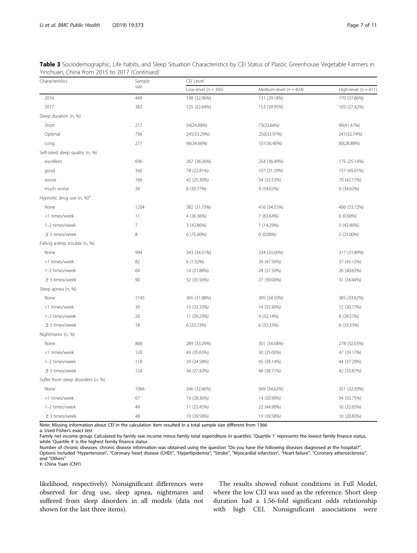| Characteristics                       | Sample         | CEI Level               |                            |                        |  |  |  |
|---------------------------------------|----------------|-------------------------|----------------------------|------------------------|--|--|--|
|                                       | size           | Low-level ( $n = 395$ ) | Medium-level ( $n = 424$ ) | High-level $(n = 411)$ |  |  |  |
| 2016                                  | 449            | 148 (32.96%)            | 131 (29.18%)               | 170 (37.86%)           |  |  |  |
| 2017                                  | 383            | 125 (32.64%)            | 153 (39.95%)               | 105 (27.42%)           |  |  |  |
| Sleep duration (n, %)                 |                |                         |                            |                        |  |  |  |
| Short                                 | 217            | 54(24.88%)              | 73(33.64%)                 | 90(41.47%)             |  |  |  |
| Optimal                               | 736            | 245(33.29%)             | 250(33.97%)                | 241(32.74%)            |  |  |  |
| Long                                  | 277            | 96(34.66%)              | 101(36.46%)                | 80(28.88%)             |  |  |  |
| Self-rated sleep quality (n, %)       |                |                         |                            |                        |  |  |  |
| excellent                             | 696            | 267 (38.36%)            | 254 (36.49%)               | 175 (25.14%)           |  |  |  |
| good                                  | 342            | 78 (22.81%)             | 107 (31.29%)               | 157 (45.91%)           |  |  |  |
| worse                                 | 166            | 42 (25.30%)             | 54 (32.53%)                | 70 (42.17%)            |  |  |  |
| much worse                            | 26             | 8 (30.77%)              | 9 (34.62%)                 | 9 (34.62%)             |  |  |  |
| Hypnotic drug use (n, %) <sup>a</sup> |                |                         |                            |                        |  |  |  |
| None                                  | 1204           | 382 (31.73%)            | 416 (34.55%)               | 406 (33.72%)           |  |  |  |
| <1 times/week                         | 11             | 4 (36.36%)              | 7 (63.64%)                 | $0(0.00\%)$            |  |  |  |
| 1-2 times/week                        | $\overline{7}$ | 3 (42.86%)              | 1 (14.29%)                 | 3 (42.86%)             |  |  |  |
| $\geq$ 3 times/week                   | 8              | 6 (75.00%)              | $0(0.00\%)$                | 2 (25.00%)             |  |  |  |
| Falling asleep trouble (n, %)         |                |                         |                            |                        |  |  |  |
| None                                  | 994            | 343 (34.51%)            | 334 (33.60%)               | 317 (31.89%)           |  |  |  |
| <1 times/week                         | 82             | 6 (7.32%)               | 39 (47.56%)                | 37 (45.12%)            |  |  |  |
| 1-2 times/week                        | 64             | 14 (21.88%)             | 24 (37.50%)                | 26 (40.63%)            |  |  |  |
| $\geq$ 3 times/week                   | 90             | 32 (35.56%)             | 27 (30.00%)                | 31 (34.44%)            |  |  |  |
| Sleep apnea (n, %)                    |                |                         |                            |                        |  |  |  |
| None                                  | 1145           | 365 (31.88%)            | 395 (34.50%)               | 385 (33.62%)           |  |  |  |
| <1 times/week                         | 39             | 13 (33.33%)             | 14 (35.90%)                | 12 (30.77%)            |  |  |  |
| 1-2 times/week                        | 28             | 11 (39.29%)             | 9 (32.14%)                 | 8 (28.57%)             |  |  |  |
| $\geq$ 3 times/week                   | 18             | 6 (33.33%)              | 6 (33.33%)                 | 6 (33.33%)             |  |  |  |
| Nightmares (n, %)                     |                |                         |                            |                        |  |  |  |
| None                                  | 868            | 289 (33.29%)            | 301 (34.68%)               | 278 (32.03%)           |  |  |  |
| <1 times/week                         | 120            | 43 (35.83%)             | 30 (25.00%)                | 47 (39.17%)            |  |  |  |
| 1-2 times/week                        | 118            | 29 (24.58%)             | 45 (38.14%)                | 44 (37.29%)            |  |  |  |
| $\geq$ 3 times/week                   | 124            | 34 (27.42%)             | 48 (38.71%)                | 42 (33.87%)            |  |  |  |
| Suffer from sleep disorders (n, %)    |                |                         |                            |                        |  |  |  |
| None                                  | 1066           | 346 (32.46%)            | 369 (34.62%)               | 351 (32.93%)           |  |  |  |
| <1 times/week                         | 67             | 19 (28.36%)             | 14 (20.90%)                | 34 (50.75%)            |  |  |  |
| 1-2 times/week                        | 49             | 11 (22.45%)             | 22 (44.90%)                | 16 (32.65%)            |  |  |  |
| $\geq$ 3 times/week                   | 48             | 19 (39.58%)             | 19 (39.58%)                | 10 (20.83%)            |  |  |  |

Table 3 Sociodemographic, Life habits, and Sleep Situation Characteristics by CEI Status of Plastic Greenhouse Vegetable Farmers in Yinchuan, China from 2015 to 2017 (Continued)

Note: Missing information about CEI in the calculation item resulted in a total sample size different from 1366

a: Used Fisher's exact test

Family net income group: Calculated by family raw income minus family total expenditure in quartiles. 'Quartile 1' represents the lowest family finance status, while 'Quartile 4' is the highest family finance status

Number of chronic diseases: chronic disease information was obtained using the question "Do you have the following diseases diagnosed at the hospital?".<br>Options included "Hypertension", "Coronary heart disease (CHD)", "Hyp and "Others"

¥: China Yuan (CNY)

likelihood, respectively). Nonsignificant differences were observed for drug use, sleep apnea, nightmares and suffered from sleep disorders in all models (data not shown for the last three items).

The results showed robust conditions in Full Model, where the low CEI was used as the reference. Short sleep duration had a 1.56-fold significant odds relationship with high CEI. Nonsignificant associations were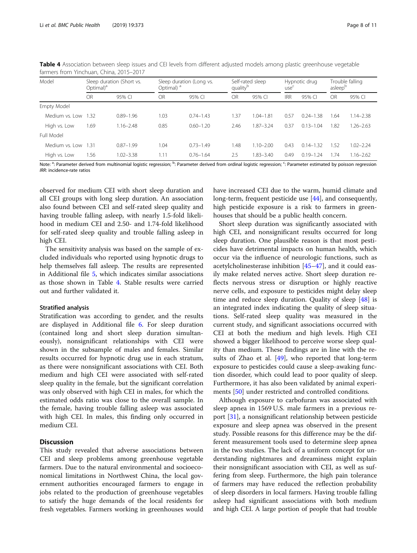| Model               | Optimal) <sup>a</sup> | Sleep duration (Short vs. | Optimal) <sup>a</sup> | Sleep duration (Long vs. | Self-rated sleep<br>quality <sup>p</sup> |               | use`       | Hypnotic drug |      | Trouble falling<br>asleep <sup>b</sup> |  |
|---------------------|-----------------------|---------------------------|-----------------------|--------------------------|------------------------------------------|---------------|------------|---------------|------|----------------------------------------|--|
|                     | OR                    | 95% CI                    | OR                    | 95% CI                   | <b>OR</b>                                | 95% CI        | <b>IRR</b> | 95% CI        | OR   | 95% CI                                 |  |
| Empty Model         |                       |                           |                       |                          |                                          |               |            |               |      |                                        |  |
| Medium vs. Low      | 1.32                  | $0.89 - 1.96$             | 1.03                  | $0.74 - 1.43$            | .37                                      | $1.04 - 1.81$ | 0.57       | $0.24 - 1.38$ | 1.64 | $1.14 - 2.38$                          |  |
| High vs. Low        | .69                   | $1.16 - 2.48$             | 0.85                  | $0.60 - 1.20$            | 2.46                                     | $.87 - 3.24$  | 0.37       | $0.13 - 1.04$ | 1.82 | $1.26 - 2.63$                          |  |
| Full Model          |                       |                           |                       |                          |                                          |               |            |               |      |                                        |  |
| Medium vs. Low 1.31 |                       | $0.87 - 1.99$             | 1.04                  | $0.73 - 1.49$            | 1.48                                     | $.10 - 2.00$  | 0.43       | $0.14 - 1.32$ | 1.52 | $1.02 - 2.24$                          |  |
| High vs. Low        | 1.56                  | $1.02 - 3.38$             | 11،                   | $0.76 - 1.64$            | 2.5                                      | $.83 - 3.40$  | 0.49       | $0.19 - 1.24$ | .74  | $1.16 - 2.62$                          |  |

<span id="page-7-0"></span>Table 4 Association between sleep issues and CEI levels from different adjusted models among plastic greenhouse vegetable farmers from Yinchuan, China, 2015–2017

Note: <sup>a</sup>: Parameter derived from multinomial logistic regression; <sup>b</sup>: Parameter derived from ordinal logistic regression; <sup>c</sup>: Parameter estimated by poisson regression IRR: incidence-rate ratios

observed for medium CEI with short sleep duration and all CEI groups with long sleep duration. An association also found between CEI and self-rated sleep quality and having trouble falling asleep, with nearly 1.5-fold likelihood in medium CEI and 2.50- and 1.74-fold likelihood for self-rated sleep quality and trouble falling asleep in high CEI.

The sensitivity analysis was based on the sample of excluded individuals who reported using hypnotic drugs to help themselves fall asleep. The results are represented in Additional file [5,](#page-8-0) which indicates similar associations as those shown in Table 4. Stable results were carried out and further validated it.

# Stratified analysis

Stratification was according to gender, and the results are displayed in Additional file [6.](#page-8-0) For sleep duration (contained long and short sleep duration simultaneously), nonsignificant relationships with CEI were shown in the subsample of males and females. Similar results occurred for hypnotic drug use in each stratum, as there were nonsignificant associations with CEI. Both medium and high CEI were associated with self-rated sleep quality in the female, but the significant correlation was only observed with high CEI in males, for which the estimated odds ratio was close to the overall sample. In the female, having trouble falling asleep was associated with high CEI. In males, this finding only occurred in medium CEI.

# **Discussion**

This study revealed that adverse associations between CEI and sleep problems among greenhouse vegetable farmers. Due to the natural environmental and socioeconomical limitations in Northwest China, the local government authorities encouraged farmers to engage in jobs related to the production of greenhouse vegetables to satisfy the huge demands of the local residents for fresh vegetables. Farmers working in greenhouses would have increased CEI due to the warm, humid climate and long-term, frequent pesticide use [[44](#page-10-0)], and consequently, high pesticide exposure is a risk to farmers in greenhouses that should be a public health concern.

Short sleep duration was significantly associated with high CEI, and nonsignificant results occurred for long sleep duration. One plausible reason is that most pesticides have detrimental impacts on human health, which occur via the influence of neurologic functions, such as acetylcholinesterase inhibition [[45](#page-10-0)–[47\]](#page-10-0), and it could easily make related nerves active. Short sleep duration reflects nervous stress or disruption or highly reactive nerve cells, and exposure to pesticides might delay sleep time and reduce sleep duration. Quality of sleep [\[48](#page-10-0)] is an integrated index indicating the quality of sleep situations. Self-rated sleep quality was measured in the current study, and significant associations occurred with CEI at both the medium and high levels. High CEI showed a bigger likelihood to perceive worse sleep quality than medium. These findings are in line with the results of Zhao et al. [[49\]](#page-10-0), who reported that long-term exposure to pesticides could cause a sleep-awaking function disorder, which could lead to poor quality of sleep. Furthermore, it has also been validated by animal experiments [[50\]](#page-10-0) under restricted and controlled conditions.

Although exposure to carbofuran was associated with sleep apnea in 1569 U.S. male farmers in a previous report [\[31\]](#page-9-0), a nonsignificant relationship between pesticide exposure and sleep apnea was observed in the present study. Possible reasons for this difference may be the different measurement tools used to determine sleep apnea in the two studies. The lack of a uniform concept for understanding nightmares and dreaminess might explain their nonsignificant association with CEI, as well as suffering from sleep. Furthermore, the high pain tolerance of farmers may have reduced the reflection probability of sleep disorders in local farmers. Having trouble falling asleep had significant associations with both medium and high CEI. A large portion of people that had trouble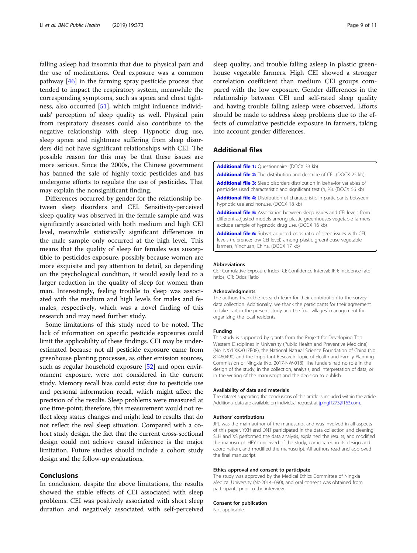<span id="page-8-0"></span>falling asleep had insomnia that due to physical pain and the use of medications. Oral exposure was a common pathway [\[46\]](#page-10-0) in the farming spray pesticide process that tended to impact the respiratory system, meanwhile the corresponding symptoms, such as apnea and chest tightness, also occurred [[51\]](#page-10-0), which might influence individuals' perception of sleep quality as well. Physical pain from respiratory diseases could also contribute to the negative relationship with sleep. Hypnotic drug use, sleep apnea and nightmare suffering from sleep disorders did not have significant relationships with CEI. The possible reason for this may be that these issues are more serious. Since the 2000s, the Chinese government has banned the sale of highly toxic pesticides and has undergone efforts to regulate the use of pesticides. That may explain the nonsignificant finding.

Differences occurred by gender for the relationship between sleep disorders and CEI. Sensitivity-perceived sleep quality was observed in the female sample and was significantly associated with both medium and high CEI level, meanwhile statistically significant differences in the male sample only occurred at the high level. This means that the quality of sleep for females was susceptible to pesticides exposure, possibly because women are more exquisite and pay attention to detail, so depending on the psychological condition, it would easily lead to a larger reduction in the quality of sleep for women than man. Interestingly, feeling trouble to sleep was associated with the medium and high levels for males and females, respectively, which was a novel finding of this research and may need further study.

Some limitations of this study need to be noted. The lack of information on specific pesticide exposures could limit the applicability of these findings. CEI may be underestimated because not all pesticide exposure came from greenhouse planting processes, as other emission sources, such as regular household exposure [\[52\]](#page-10-0) and open environment exposure, were not considered in the current study. Memory recall bias could exist due to pesticide use and personal information recall, which might affect the precision of the results. Sleep problems were measured at one time-point; therefore, this measurement would not reflect sleep status changes and might lead to results that do not reflect the real sleep situation. Compared with a cohort study design, the fact that the current cross-sectional design could not achieve causal inference is the major limitation. Future studies should include a cohort study design and the follow-up evaluations.

# Conclusions

In conclusion, despite the above limitations, the results showed the stable effects of CEI associated with sleep problems. CEI was positively associated with short sleep duration and negatively associated with self-perceived

sleep quality, and trouble falling asleep in plastic greenhouse vegetable farmers. High CEI showed a stronger correlation coefficient than medium CEI groups compared with the low exposure. Gender differences in the relationship between CEI and self-rated sleep quality and having trouble falling asleep were observed. Efforts should be made to address sleep problems due to the effects of cumulative pesticide exposure in farmers, taking into account gender differences.

# Additional files

[Additional file 1:](https://doi.org/10.1186/s12889-019-6712-6) Questionnaire. (DOCX 33 kb)

hypnotic use and nonuse. (DOCX 18 kb)

**[Additional file 2:](https://doi.org/10.1186/s12889-019-6712-6)** The distribution and describe of CEI. (DOCX 25 kb) [Additional file 3:](https://doi.org/10.1186/s12889-019-6712-6) Sleep disorders distribution in behavior variables of

pesticides used characteristic and significant test (n, %). (DOCX 56 kb) [Additional file 4:](https://doi.org/10.1186/s12889-019-6712-6) Distribution of characteristic in participants between

[Additional file 5:](https://doi.org/10.1186/s12889-019-6712-6) Association between sleep issues and CEI levels from different adjusted models among plastic greenhouses vegetable farmers exclude sample of hypnotic drug use. (DOCX 16 kb)

[Additional file 6:](https://doi.org/10.1186/s12889-019-6712-6) Subset adjusted odds ratio of sleep issues with CEI levels (reference: low CEI level) among plastic greenhouse vegetable farmers, Yinchuan, China. (DOCX 17 kb)

#### Abbreviations

CEI: Cumulative Exposure Index; CI: Confidence Interval; IRR: Incidence-rate ratios; OR: Odds Ratio

#### Acknowledgments

The authors thank the research team for their contribution to the survey data collection. Additionally, we thank the participants for their agreement to take part in the present study and the four villages' management for organizing the local residents.

#### Funding

This study is supported by grants from the Project for Developing Top Western Disciplines in University (Public Health and Preventive Medicine) (No. NXYLXK2017B08), the National Natural Science Foundation of China (No. 81460490) and the Important Research Topic of Health and Family Planning Commission of Ningxia (No. 2017-NW-018). The funders had no role in the design of the study, in the collection, analysis, and interpretation of data, or in the writing of the manuscript and the decision to publish.

#### Availability of data and materials

The dataset supporting the conclusions of this article is included within the article. Additional data are available on individual request at [jpingl1273@163.com](mailto:jpingl1273@163.com).

#### Authors' contributions

JPL was the main author of the manuscript and was involved in all aspects of this paper. YXH and DNT participated in the data collection and cleaning. SLH and XS performed the data analysis, explained the results, and modified the manuscript. HFY conceived of the study, participated in its design and coordination, and modified the manuscript. All authors read and approved the final manuscript.

### Ethics approval and consent to participate

The study was approved by the Medical Ethics Committee of Ningxia Medical University (No.2014–090), and oral consent was obtained from participants prior to the interview.

#### Consent for publication

Not applicable.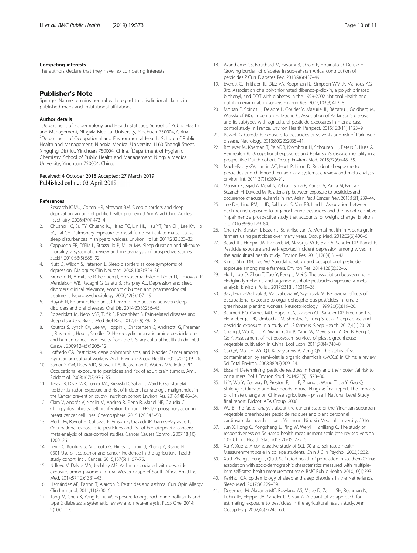# <span id="page-9-0"></span>Competing interests

The authors declare that they have no competing interests.

# Publisher's Note

Springer Nature remains neutral with regard to jurisdictional claims in published maps and institutional affiliations.

#### Author details

<sup>1</sup>Department of Epidemiology and Health Statistics, School of Public Health and Management, Ningxia Medical University, Yinchuan 750004, China. <sup>2</sup>Department of Occupational and Environmental Health, School of Public Health and Management, Ningxia Medical University, 1160 Shengli Street, Xingqing District, Yinchuan 750004, China. <sup>3</sup>Department of Hygienic Chemistry, School of Public Health and Management, Ningxia Medical University, Yinchuan 750004, China.

# Received: 4 October 2018 Accepted: 27 March 2019 Published online: 03 April 2019

# References

- 1. Research IOMU, Colten HR, Altevogt BM. Sleep disorders and sleep deprivation: an unmet public health problem. J Am Acad Child Adolesc Psychiatry. 2006;47(4):473–4.
- 2. Chuang HC, Su TY, Chuang KJ, Hsiao TC, Lin HL, Hsu YT, Pan CH, Lee KY, Ho SC, Lai CH. Pulmonary exposure to metal fume particulate matter cause sleep disturbances in shipyard welders. Environ Pollut. 2017;232:523–32.
- 3. Cappuccio FP, D'Elia L, Strazzullo P, Miller MA. Sleep duration and all-cause mortality: a systematic review and meta-analysis of prospective studies. SLEEP. 2010;33(5):585–92.
- 4. Nutt D, Wilson S, Paterson L. Sleep disorders as core symptoms of depression. Dialogues Clin Neurosci. 2008;10(3):329–36.
- 5. Brunello N, Armitage R, Feinberg I, Holsboertrachsler E, Léger D, Linkowski P, Mendelson WB, Racagni G, Saletu B, Sharpley AL. Depression and sleep disorders: clinical relevance, economic burden and pharmacological treatment. Neuropsychobiology. 2000;42(3):107–19.
- 6. Huynh N, Emami E, Helman J, Chervin R. Interactions between sleep disorders and oral diseases. Oral Dis. 2014;20(3):236–45.
- 7. Roizenblatt M, Neto NSR, Tufik S, Roizenblatt S. Pain-related diseases and sleep disorders. Braz J Med Biol Res. 2012;45(9):792–8.
- 8. Koutros S, Lynch CX, Lee W, Hoppin J, Christensen C, Andreotti G, Freeman L, Rusiecki J, Hou L, Sandler D. Heterocyclic aromatic amine pesticide use and human cancer risk: results from the U.S. agricultural health study. Int J Cancer. 2009;124(5):1206–12.
- 9. Loffredo CA. Pesticides, gene polymorphisms, and bladder Cancer among Egyptian agricultural workers. Arch Environ Occup Health. 2015;70(1):19–26.
- 10. Samanic CM, Roos AJD, Stewart PA, Rajaraman P, Waters MA, Inskip PD. Occupational exposure to pesticides and risk of adult brain tumors. Am J Epidemiol. 2008;167(8):976–85.
- 11. Teras LR, Diver WR, Turner MC, Krewski D, Sahar L, Ward E, Gapstur SM. Residential radon exposure and risk of incident hematologic malignancies in the Cancer prevention study-II nutrition cohort. Environ Res. 2016;148:46–54.
- 12. Clara V, Andrés V, Noelia M, Andrea R, Elena R, Mariel NE, Claudia C. Chlorpyrifos inhibits cell proliferation through ERK1/2 phosphorylation in breast cancer cell lines. Chemosphere. 2015;120:343–50.
- 13. Merhi M, Raynal H, Cahuzac E, Vinson F, Cravedi JP, Gamet-Payrastre L. Occupational exposure to pesticides and risk of hematopoietic cancers: meta-analysis of case-control studies. Cancer Causes Control. 2007;18(10): 1209–26.
- 14. Lerro C, Koutros S, Andreotti G, Hines C, Lubin J, Zhang Y, Beane FL. 0301 Use of acetochlor and cancer incidence in the agricultural health study cohort. Int J Cancer. 2015;137(5):1167–75.
- 15. Ndlovu V, Dalvie MA, Jeebhay MF. Asthma associated with pesticide exposure among women in rural Western cape of South Africa. Am J Ind Med. 2014;57(12):1331–43.
- 16. Hernández AF, Parrón T, Alarcón R. Pesticides and asthma. Curr Opin Allergy Clin Immunol. 2011;11(2):90–6.
- 17. Tang M, Chen K, Yang F, Liu W. Exposure to organochlorine pollutants and type 2 diabetes: a systematic review and meta-analysis. PLoS One. 2014; 9(10):1–12.
- 18. Azandjeme CS, Bouchard M, Fayomi B, Djrolo F, Houinato D, Delisle H. Growing burden of diabetes in sub-saharan Africa: contribution of pesticides ? Curr Diabetes Rev. 2013;9(6):437–49.
- 19. Everett CJ, Frithsen IL, Diaz VA, Koopman RJ, Simpson WM Jr, Mainous AG 3rd. Association of a polychlorinated dibenzo-p-dioxin, a polychlorinated biphenyl, and DDT with diabetes in the 1999-2002 National Health and nutrition examination survey. Environ Res. 2007;103(3):413–8.
- 20. Moisan F, Spinosi J, Delabre L, Gourlet V, Mazurie JL, Bénatru I, Goldberg M, Weisskopf MG, Imbernon E, Tzourio C. Association of Parkinson's disease and its subtypes with agricultural pesticide exposures in men: a case– control study in France. Environ Health Perspect. 2015;123(11):1123–9.
- 21. Pezzoli G, Cereda E. Exposure to pesticides or solvents and risk of Parkinson disease. Neurology. 2013;80(22):2035–41.
- 22. Brouwer M, Koeman T, Pa VDB, Kromhout H, Schouten LJ, Peters S, Huss A, Vermeulen R. Occupational exposures and Parkinson's disease mortality in a prospective Dutch cohort. Occup Environ Med. 2015;72(6):448–55.
- 23. Maele-Fabry GV, Lantin AC, Hoet P, Lison D. Residential exposure to pesticides and childhood leukaemia: a systematic review and meta-analysis. Environ Int. 2011;37(1):280–91.
- 24. Maryam Z, Sajad A, Maral N, Zahra L, Sima P, Zeinab A, Zahra M, Fariba E, Sezaneh H, Davood M. Relationship between exposure to pesticides and occurrence of acute leukemia in Iran. Asian Pac J Cancer Prev. 2015;16(1):239–44.
- 25. Lee DH, Lind PM, Jr JD, Salihovic S, Van BB, Lind L. Association between background exposure to organochlorine pesticides and the risk of cognitive impairment: a prospective study that accounts for weight change. Environ Int. 2016;89-90:179–84.
- 26. Cherry N, Burstyn I, Beach J, Senthilselvan A. Mental health in Alberta grain farmers using pesticides over many years. Occup Med. 2012;62(6):400–6.
- 27. Beard JD, Hoppin JA, Richards M, Alavanja MCR, Blair A, Sandler DP, Kamel F. Pesticide exposure and self-reported incident depression among wives in the agricultural health study. Environ Res. 2013;126(4):31–42.
- 28. Kim J, Shin DH, Lee WJ. Suicidal ideation and occupational pesticide exposure among male farmers. Environ Res. 2014;128(2):52–6.
- 29. Hu L, Luo D, Zhou T, Tao Y, Feng J, Mei S. The association between non-Hodgkin lymphoma and organophosphate pesticides exposure: a metaanalysis. Environ Pollut. 2017;231(Pt 1):319–28.
- 30. Bazylewicz-Walczak B, Majczakowa W, Szymczak M. Behavioral effects of occupational exposure to organophosphorous pesticides in female greenhouse planting workers. Neurotoxicology. 1999;20(5):819–26.
- 31. Baumert BO, Carnes MU, Hoppin JA, Jackson CL, Sandler DP, Freeman LB, Henneberger PK, Umbach DM, Shrestha S, Long S, et al. Sleep apnea and pesticide exposure in a study of US farmers. Sleep Health. 2017;4(1):20–26.
- 32. Chang J, Wu X, Liu A, Wang Y, Xu B, Yang W, Meyerson LA, Gu B, Peng C, Ge Y. Assessment of net ecosystem services of plastic greenhouse vegetable cultivation in China. Ecol Econ. 2011;70(4):740–8.
- 33. Cai QY, Mo CH, Wu QT, Katsoyiannis A, Zeng QY. The status of soil contamination by semivolatile organic chemicals (SVOCs) in China: a review. Sci Total Environ. 2008;389(2):209–24.
- 34. Eissa FI. Determining pesticide residues in honey and their potential risk to consumers. Pol J Environ Stud. 2014;23(5):1573–80.
- 35. Li Y, Wu Y, Conway D, Preston F, Lin E, Zhang J, Wang T, Jia Y, Gao Q, Shifeng Z. Climate and livelihoods in rural Ningxia: final report. The impacts of climate change on Chinese agriculture - phase II National Level Study final report. Didcot: AEA Group; 2008.
- 36. Wu B. The factor analysis about the current state of the Yinchuan suburban vegetable greenhouses pesticide residues and plant personnel cardiovascular health impact. Yinchuan: Ningxia Medical University; 2016.
- 37. Jun X, Rong G, Yongsheng L, Ping W, Weiyi H, Zhiliang C. The study of responsiveness on Sel-rated health measurement scale (the revised version 1.0). Chin J Health Stat. 2003;20(05):272–5.
- 38. Xu Y, Xue Z. A comparative study of SCL-90 and self-rated health Measurenment scale in college students. Chin J Clin Psychol. 2003;3:232.
- 39. Xu J, Zhang J, Feng L, Qiu J. Self-rated health of population in southern China: association with socio-demographic characteristics measured with multipleitem self-rated health measurement scale. BMC Public Health. 2010;10(1):393.
- 40. Kerkhof GA. Epidemiology of sleep and sleep disorders in the Netherlands. Sleep Med. 2017;30:229–39.
- 41. Dosemeci M, Alavanja MC, Rowland AS, Mage D, Zahm SH, Rothman N, Lubin JH, Hoppin JA, Sandler DP, Blair A. A quantitative approach for estimating exposure to pesticides in the agricultural health study. Ann Occup Hyg. 2002;46(2):245–60.